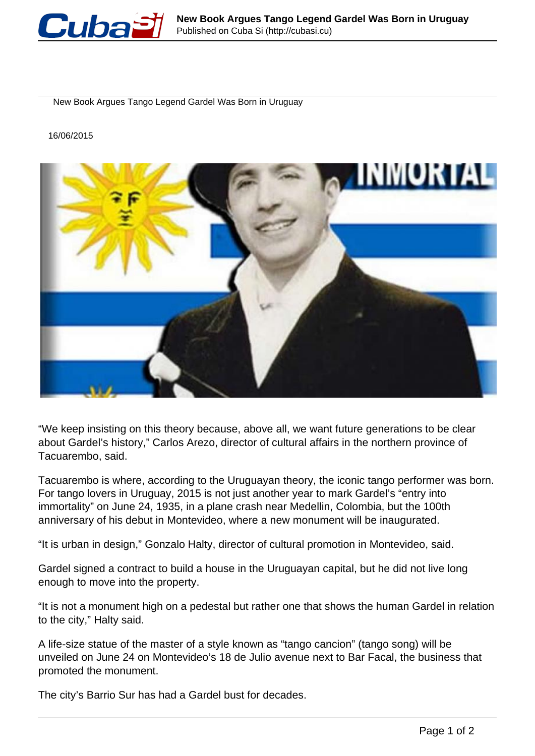

New Book Argues Tango Legend Gardel Was Born in Uruguay

16/06/2015



"We keep insisting on this theory because, above all, we want future generations to be clear about Gardel's history," Carlos Arezo, director of cultural affairs in the northern province of Tacuarembo, said.

Tacuarembo is where, according to the Uruguayan theory, the iconic tango performer was born. For tango lovers in Uruguay, 2015 is not just another year to mark Gardel's "entry into immortality" on June 24, 1935, in a plane crash near Medellin, Colombia, but the 100th anniversary of his debut in Montevideo, where a new monument will be inaugurated.

"It is urban in design," Gonzalo Halty, director of cultural promotion in Montevideo, said.

Gardel signed a contract to build a house in the Uruguayan capital, but he did not live long enough to move into the property.

"It is not a monument high on a pedestal but rather one that shows the human Gardel in relation to the city," Halty said.

A life-size statue of the master of a style known as "tango cancion" (tango song) will be unveiled on June 24 on Montevideo's 18 de Julio avenue next to Bar Facal, the business that promoted the monument.

The city's Barrio Sur has had a Gardel bust for decades.